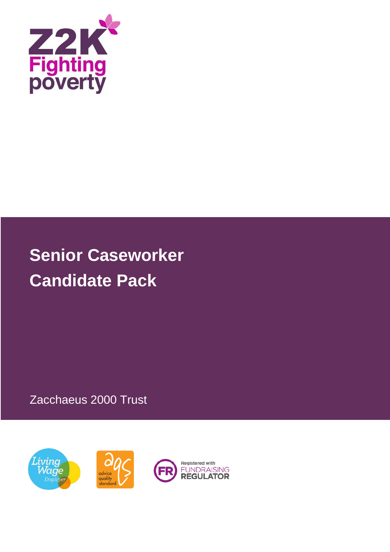

# **Senior Caseworker Candidate Pack**

Zacchaeus 2000 Trust

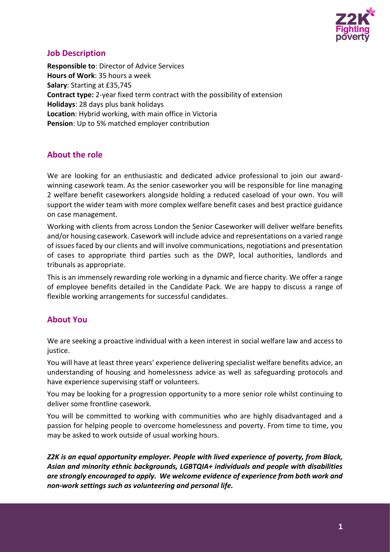

# **Job Description**

**Responsible to**: Director of Advice Services **Hours of Work**: 35 hours a week **Salary**: Starting at £35,745 **Contract type:** 2-year fixed term contract with the possibility of extension **Holidays**: 28 days plus bank holidays **Location**: Hybrid working, with main office in Victoria **Pension**: Up to 5% matched employer contribution

# **About the role**

We are looking for an enthusiastic and dedicated advice professional to join our awardwinning casework team. As the senior caseworker you will be responsible for line managing 2 welfare benefit caseworkers alongside holding a reduced caseload of your own. You will support the wider team with more complex welfare benefit cases and best practice guidance on case management.

Working with clients from across London the Senior Caseworker will deliver welfare benefits and/or housing casework. Casework will include advice and representations on a varied range of issues faced by our clients and will involve communications, negotiations and presentation of cases to appropriate third parties such as the DWP, local authorities, landlords and tribunals as appropriate.

This is an immensely rewarding role working in a dynamic and fierce charity. We offer a range of employee benefits detailed in the Candidate Pack. We are happy to discuss a range of flexible working arrangements for successful candidates.

# **About You**

We are seeking a proactive individual with a keen interest in social welfare law and access to justice.

You will have at least three years' experience delivering specialist welfare benefits advice, an understanding of housing and homelessness advice as well as safeguarding protocols and have experience supervising staff or volunteers.

You may be looking for a progression opportunity to a more senior role whilst continuing to deliver some frontline casework.

You will be committed to working with communities who are highly disadvantaged and a passion for helping people to overcome homelessness and poverty. From time to time, you may be asked to work outside of usual working hours.

*Z2K is an equal opportunity employer. People with lived experience of poverty, from Black, Asian and minority ethnic backgrounds, LGBTQIA+ individuals and people with disabilities are strongly encouraged to apply. We welcome evidence of experience from both work and non-work settings such as volunteering and personal life.*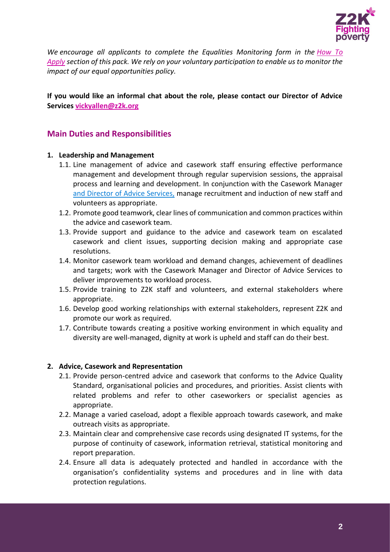

*We encourage all applicants to complete the Equalities Monitoring form in the [How To](#page-5-0)  [Apply](#page-5-0) section of this pack. We rely on your voluntary participation to enable us to monitor the impact of our equal opportunities policy.*

## **If you would like an informal chat about the role, please contact our Director of Advice Services [vickyallen@z2k.org](mailto:vickyallen@z2k.org)**

# **Main Duties and Responsibilities**

#### **1. Leadership and Management**

- 1.1. Line management of advice and casework staff ensuring effective performance management and development through regular supervision sessions, the appraisal process and learning and development. In conjunction with the Casework Manager and Director of Advice Services, manage recruitment and induction of new staff and volunteers as appropriate.
- 1.2. Promote good teamwork, clear lines of communication and common practices within the advice and casework team.
- 1.3. Provide support and guidance to the advice and casework team on escalated casework and client issues, supporting decision making and appropriate case resolutions.
- 1.4. Monitor casework team workload and demand changes, achievement of deadlines and targets; work with the Casework Manager and Director of Advice Services to deliver improvements to workload process.
- 1.5. Provide training to Z2K staff and volunteers, and external stakeholders where appropriate.
- 1.6. Develop good working relationships with external stakeholders, represent Z2K and promote our work as required.
- 1.7. Contribute towards creating a positive working environment in which equality and diversity are well-managed, dignity at work is upheld and staff can do their best.

#### **2. Advice, Casework and Representation**

- 2.1. Provide person-centred advice and casework that conforms to the Advice Quality Standard, organisational policies and procedures, and priorities. Assist clients with related problems and refer to other caseworkers or specialist agencies as appropriate.
- 2.2. Manage a varied caseload, adopt a flexible approach towards casework, and make outreach visits as appropriate.
- 2.3. Maintain clear and comprehensive case records using designated IT systems, for the purpose of continuity of casework, information retrieval, statistical monitoring and report preparation.
- 2.4. Ensure all data is adequately protected and handled in accordance with the organisation's confidentiality systems and procedures and in line with data protection regulations.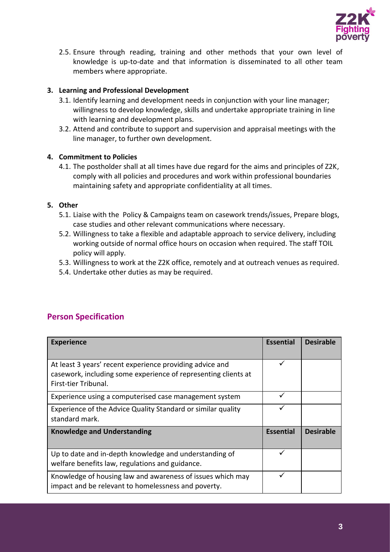

2.5. Ensure through reading, training and other methods that your own level of knowledge is up-to-date and that information is disseminated to all other team members where appropriate.

## **3. Learning and Professional Development**

- 3.1. Identify learning and development needs in conjunction with your line manager; willingness to develop knowledge, skills and undertake appropriate training in line with learning and development plans.
- 3.2. Attend and contribute to support and supervision and appraisal meetings with the line manager, to further own development.

## **4. Commitment to Policies**

4.1. The postholder shall at all times have due regard for the aims and principles of Z2K, comply with all policies and procedures and work within professional boundaries maintaining safety and appropriate confidentiality at all times.

#### **5. Other**

- 5.1. Liaise with the Policy & Campaigns team on casework trends/issues, Prepare blogs, case studies and other relevant communications where necessary.
- 5.2. Willingness to take a flexible and adaptable approach to service delivery, including working outside of normal office hours on occasion when required. The staff TOIL policy will apply.
- 5.3. Willingness to work at the Z2K office, remotely and at outreach venues as required.
- 5.4. Undertake other duties as may be required.

# **Person Specification**

| <b>Experience</b>                                                                                                                                  | <b>Essential</b> | <b>Desirable</b> |
|----------------------------------------------------------------------------------------------------------------------------------------------------|------------------|------------------|
| At least 3 years' recent experience providing advice and<br>casework, including some experience of representing clients at<br>First-tier Tribunal. |                  |                  |
| Experience using a computerised case management system                                                                                             | ✓                |                  |
| Experience of the Advice Quality Standard or similar quality<br>standard mark.                                                                     |                  |                  |
| <b>Knowledge and Understanding</b>                                                                                                                 | <b>Essential</b> | <b>Desirable</b> |
| Up to date and in-depth knowledge and understanding of<br>welfare benefits law, regulations and guidance.                                          |                  |                  |
| Knowledge of housing law and awareness of issues which may<br>impact and be relevant to homelessness and poverty.                                  |                  |                  |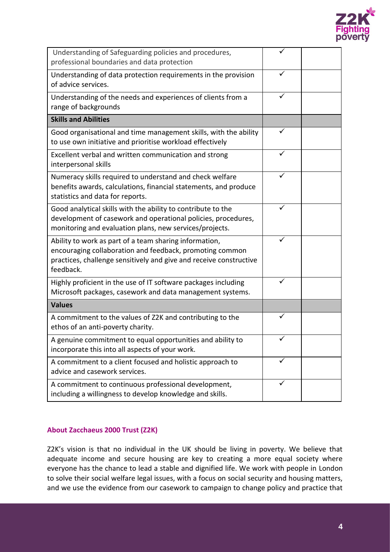

| Understanding of Safeguarding policies and procedures,<br>professional boundaries and data protection                                                                                                 | ✓ |  |
|-------------------------------------------------------------------------------------------------------------------------------------------------------------------------------------------------------|---|--|
| Understanding of data protection requirements in the provision<br>of advice services.                                                                                                                 | ✓ |  |
| Understanding of the needs and experiences of clients from a<br>range of backgrounds                                                                                                                  | ✓ |  |
| <b>Skills and Abilities</b>                                                                                                                                                                           |   |  |
| Good organisational and time management skills, with the ability<br>to use own initiative and prioritise workload effectively                                                                         |   |  |
| Excellent verbal and written communication and strong<br>interpersonal skills                                                                                                                         | ✓ |  |
| Numeracy skills required to understand and check welfare<br>benefits awards, calculations, financial statements, and produce<br>statistics and data for reports.                                      | ✓ |  |
| Good analytical skills with the ability to contribute to the<br>development of casework and operational policies, procedures,<br>monitoring and evaluation plans, new services/projects.              |   |  |
| Ability to work as part of a team sharing information,<br>encouraging collaboration and feedback, promoting common<br>practices, challenge sensitively and give and receive constructive<br>feedback. |   |  |
| Highly proficient in the use of IT software packages including<br>Microsoft packages, casework and data management systems.                                                                           |   |  |
| <b>Values</b>                                                                                                                                                                                         |   |  |
| A commitment to the values of Z2K and contributing to the<br>ethos of an anti-poverty charity.                                                                                                        |   |  |
| A genuine commitment to equal opportunities and ability to<br>incorporate this into all aspects of your work.                                                                                         | ✓ |  |
| A commitment to a client focused and holistic approach to<br>advice and casework services.                                                                                                            | ✓ |  |
| A commitment to continuous professional development,<br>including a willingness to develop knowledge and skills.                                                                                      |   |  |

## **About Zacchaeus 2000 Trust (Z2K)**

Z2K's vision is that no individual in the UK should be living in poverty. We believe that adequate income and secure housing are key to creating a more equal society where everyone has the chance to lead a stable and dignified life. We work with people in London to solve their social welfare legal issues, with a focus on social security and housing matters, and we use the evidence from our casework to campaign to change policy and practice that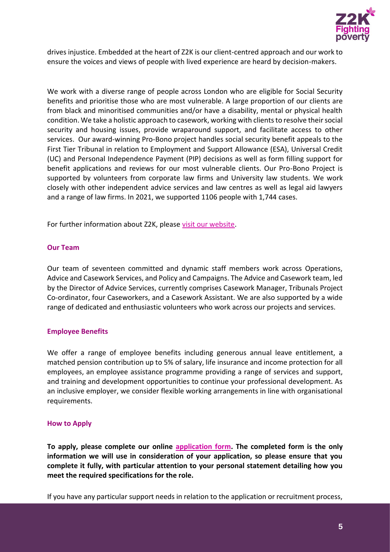

drives injustice. Embedded at the heart of Z2K is our client-centred approach and our work to ensure the voices and views of people with lived experience are heard by decision-makers.

We work with a diverse range of people across London who are eligible for Social Security benefits and prioritise those who are most vulnerable. A large proportion of our clients are from black and minoritised communities and/or have a disability, mental or physical health condition. We take a holistic approach to casework, working with clients to resolve their social security and housing issues, provide wraparound support, and facilitate access to other services. Our award-winning Pro-Bono project handles social security benefit appeals to the First Tier Tribunal in relation to Employment and Support Allowance (ESA), Universal Credit (UC) and Personal Independence Payment (PIP) decisions as well as form filling support for benefit applications and reviews for our most vulnerable clients. Our Pro-Bono Project is supported by volunteers from corporate law firms and University law students. We work closely with other independent advice services and law centres as well as legal aid lawyers and a range of law firms. In 2021, we supported 1106 people with 1,744 cases.

For further information about Z2K, please [visit our website.](https://www.z2k.org/)

#### **Our Team**

Our team of seventeen committed and dynamic staff members work across Operations, Advice and Casework Services, and Policy and Campaigns. The Advice and Casework team, led by the Director of Advice Services, currently comprises Casework Manager, Tribunals Project Co-ordinator, four Caseworkers, and a Casework Assistant. We are also supported by a wide range of dedicated and enthusiastic volunteers who work across our projects and services.

## **Employee Benefits**

We offer a range of employee benefits including generous annual leave entitlement, a matched pension contribution up to 5% of salary, life insurance and income protection for all employees, an employee assistance programme providing a range of services and support, and training and development opportunities to continue your professional development. As an inclusive employer, we consider flexible working arrangements in line with organisational requirements.

#### <span id="page-5-0"></span>**How to Apply**

**To apply, please complete our online [application form.](https://z2k.formstack.com/forms/z2k_application_form) The completed form is the only information we will use in consideration of your application, so please ensure that you complete it fully, with particular attention to your personal statement detailing how you meet the required specifications for the role.**

If you have any particular support needs in relation to the application or recruitment process,